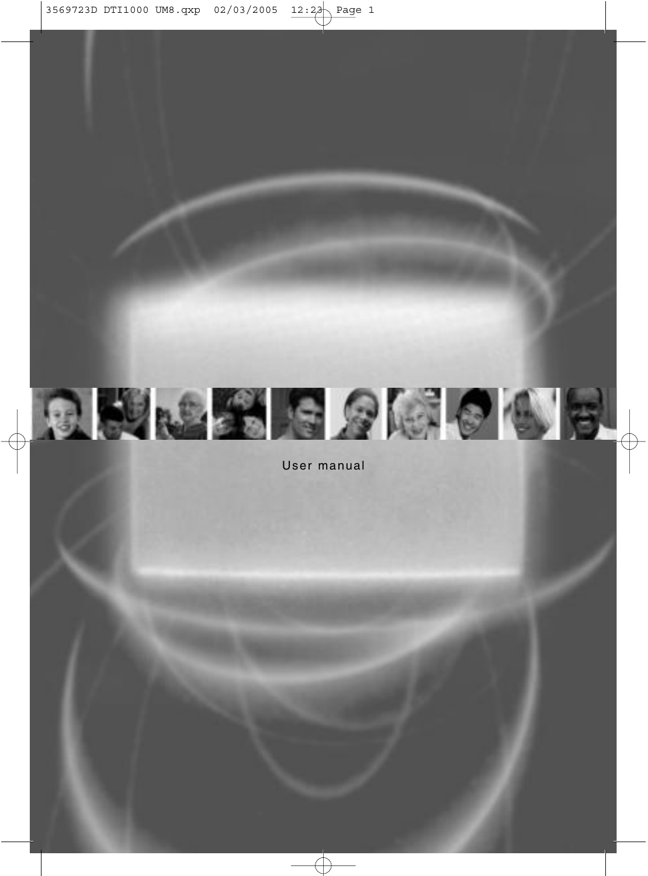

User manual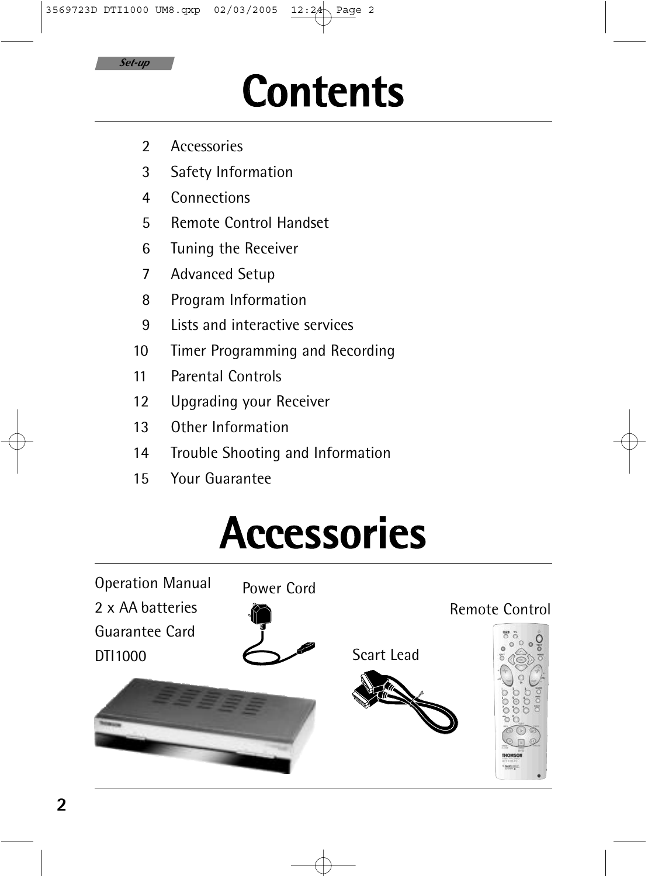

## **Contents**

- 2 Accessories
- 3 Safety Information
- 4 Connections
- 5 Remote Control Handset
- 6 Tuning the Receiver
- 7 Advanced Setup
- 8 Program Information
- 9 Lists and interactive services
- 10 Timer Programming and Recording
- 11 Parental Controls
- 12 Upgrading your Receiver
- 13 Other Information
- 14 Trouble Shooting and Information
- 15 Your Guarantee

## **Accessories**

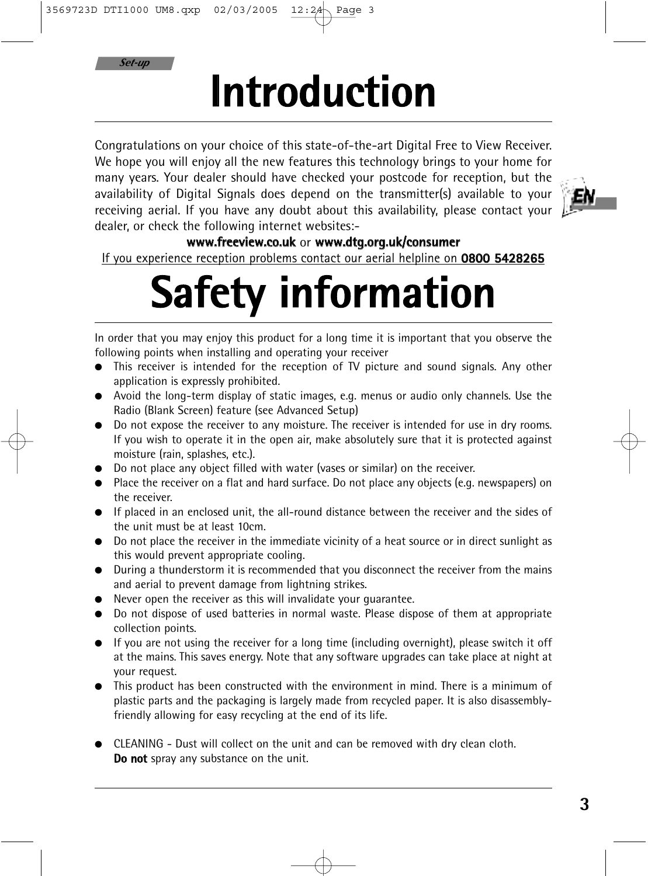*Set-up*

# **Introduction**

Congratulations on your choice of this state-of-the-art Digital Free to View Receiver. We hope you will enjoy all the new features this technology brings to your home for many years. Your dealer should have checked your postcode for reception, but the availability of Digital Signals does depend on the transmitter(s) available to your receiving aerial. If you have any doubt about this availability, please contact your dealer, or check the following internet websites:-



#### **www.freeview.co.uk** or **www.dtg.org.uk/consumer**

If you experience reception problems contact our aerial helpline on **0800 5428265**

# **Safety information**

In order that you may enjoy this product for a long time it is important that you observe the following points when installing and operating your receiver

- This receiver is intended for the reception of TV picture and sound signals. Any other application is expressly prohibited.
- Avoid the long-term display of static images, e.g. menus or audio only channels. Use the Radio (Blank Screen) feature (see Advanced Setup)
- Do not expose the receiver to any moisture. The receiver is intended for use in dry rooms. If you wish to operate it in the open air, make absolutely sure that it is protected against moisture (rain, splashes, etc.).
- Do not place any object filled with water (vases or similar) on the receiver.
- Place the receiver on a flat and hard surface. Do not place any objects (e.g. newspapers) on the receiver.
- If placed in an enclosed unit, the all-round distance between the receiver and the sides of the unit must be at least 10cm.
- Do not place the receiver in the immediate vicinity of a heat source or in direct sunlight as this would prevent appropriate cooling.
- During a thunderstorm it is recommended that you disconnect the receiver from the mains and aerial to prevent damage from lightning strikes.
- Never open the receiver as this will invalidate your guarantee.
- Do not dispose of used batteries in normal waste. Please dispose of them at appropriate collection points.
- If you are not using the receiver for a long time (including overnight), please switch it off at the mains. This saves energy. Note that any software upgrades can take place at night at your request.
- This product has been constructed with the environment in mind. There is a minimum of plastic parts and the packaging is largely made from recycled paper. It is also disassemblyfriendly allowing for easy recycling at the end of its life.
- CLEANING Dust will collect on the unit and can be removed with dry clean cloth. **Do not** spray any substance on the unit.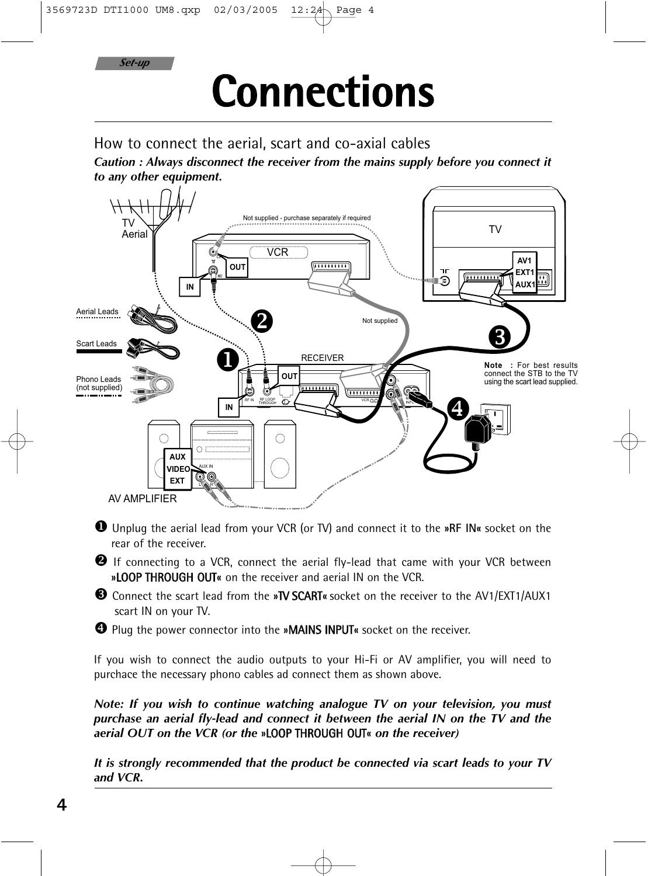*Set-up*

## **Connections**

How to connect the aerial, scart and co-axial cables

*Caution : Always disconnect the receiver from the mains supply before you connect it to any other equipment.*



 Unplug the aerial lead from your VCR (or TV) and connect it to the **»RF IN«** socket on the rear of the receiver.

<sup>2</sup> If connecting to a VCR, connect the aerial fly-lead that came with your VCR between **»**LOOP THROUGH OUT**«** on the receiver and aerial IN on the VCR.

 Connect the scart lead from the **»**TV SCART**«** socket on the receiver to the AV1/EXT1/AUX1 scart IN on your TV.

Plug the power connector into the **»**MAINS INPUT**«** socket on the receiver.

If you wish to connect the audio outputs to your Hi-Fi or AV amplifier, you will need to purchace the necessary phono cables ad connect them as shown above.

*Note: If you wish to continue watching analogue TV on your television, you must purchase an aerial fly-lead and connect it between the aerial IN on the TV and the aerial OUT on the VCR (or the* **»**LOOP THROUGH OUT**«** *on the receiver)*

*It is strongly recommended that the product be connected via scart leads to your TV and VCR.*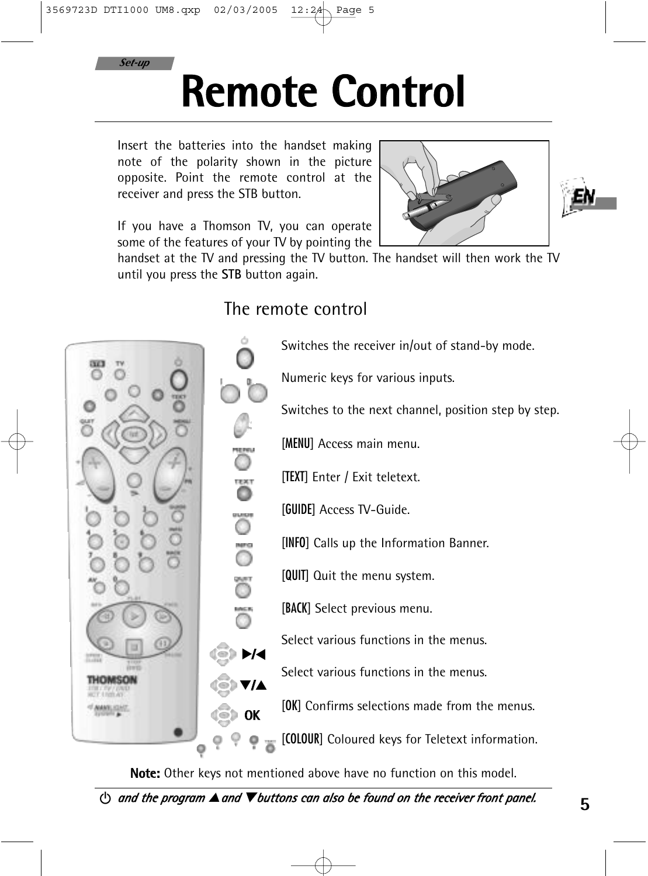

## **Remote Control**

Insert the batteries into the handset making note of the polarity shown in the picture opposite. Point the remote control at the receiver and press the STB button.

If you have a Thomson TV, you can operate some of the features of your TV by pointing the



handset at the TV and pressing the TV button. The handset will then work the TV until you press the **STB** button again.

### The remote control



**Note:** Other keys not mentioned above have no function on this model.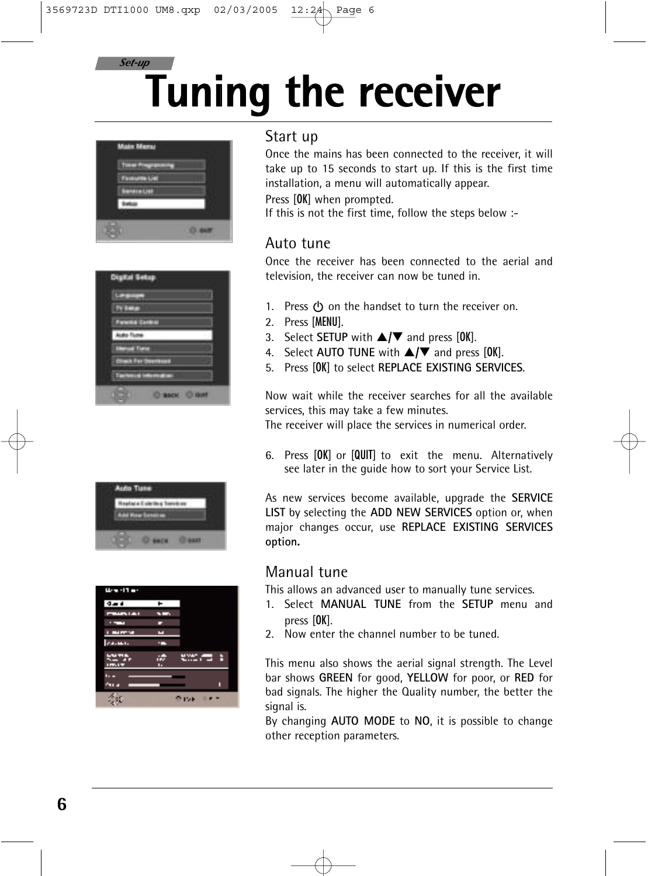### **Tuning the receiver** *Set-up*



| . .          |  |
|--------------|--|
| <b>Links</b> |  |
|              |  |

| Ward Tar                     |         |        |
|------------------------------|---------|--------|
| $4 - 4$                      | ۰       |        |
| <b>PERSONAL</b>              | --      |        |
|                              |         |        |
| a sa santa 1991.<br>Tagairtí |         |        |
| 24.000                       |         |        |
| <b>SEPT.</b><br>Imax         | ÷<br>٠. | ಉಂದ ಕಿ |
| n. .<br><b>ALL</b>           |         | _      |
|                              |         | 151    |

### Start up

Once the mains has been connected to the receiver, it will take up to 15 seconds to start up. If this is the first time installation, a menu will automatically appear.

Press [OK] when prompted.

If this is not the first time, follow the steps below :-

### Auto tune

Once the receiver has been connected to the aerial and television, the receiver can now be tuned in.

- 1. Press  $(1)$  on the handset to turn the receiver on.
- 2. Press [MENU].
- 3. Select **SETUP** with **△/▼** and press [OK].
- 4. Select AUTO TUNE with  $\triangle/\blacktriangledown$  and press [OK].
- 5. Press [OK] to select **REPLACE EXISTING SERVICES**.

Now wait while the receiver searches for all the available services, this may take a few minutes.

The receiver will place the services in numerical order.

6. Press [OK] or [QUIT] to exit the menu. Alternatively see later in the guide how to sort your Service List.

As new services become available, upgrade the **SERVICE LIST** by selecting the **ADD NEW SERVICES** option or, when major changes occur, use **REPLACE EXISTING SERVICES option.**

### Manual tune

This allows an advanced user to manually tune services.

- 1. Select **MANUAL TUNE** from the **SETUP** menu and press [OK].
- 2. Now enter the channel number to be tuned.

This menu also shows the aerial signal strength. The Level bar shows **GREEN** for good, **YELLOW** for poor, or **RED** for bad signals. The higher the Quality number, the better the signal is.

By changing **AUTO MODE** to **NO**, it is possible to change other reception parameters.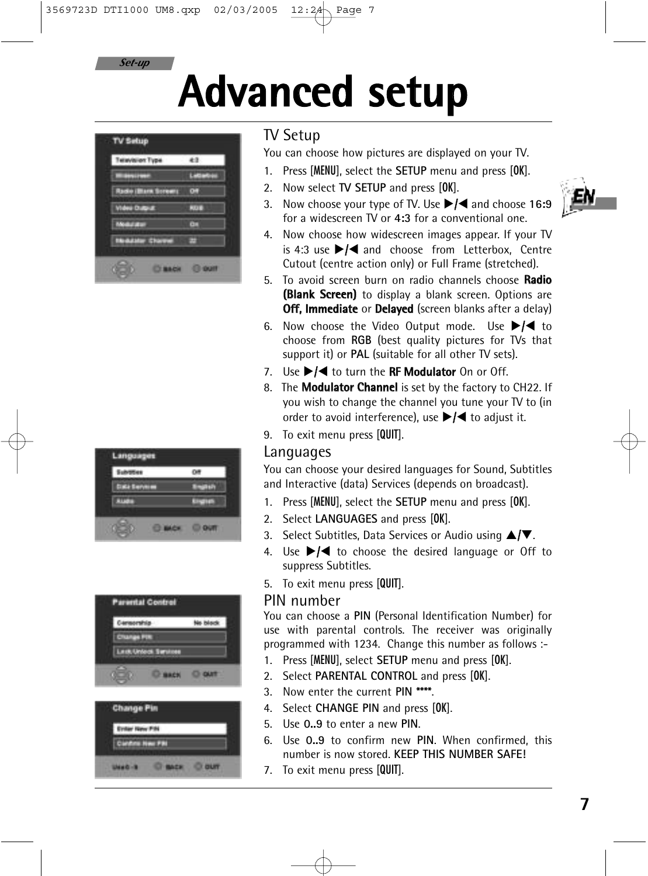*Set-up*

# **Advanced setup**



| × |  |
|---|--|
|   |  |

| <b>Parental Control</b> |                |          |
|-------------------------|----------------|----------|
| Cornorship              |                | No block |
| <b>SAFAH PIR</b><br>۰   |                |          |
| Lest Unioni Service     |                |          |
| œ                       | <b>UP MACH</b> |          |
|                         |                |          |
| <b>Change Pin</b>       |                |          |
| <b>Eviter New Pile</b>  |                |          |
| Continue New PRE        |                |          |
|                         |                |          |
|                         |                |          |

### TV Setup

You can choose how pictures are displayed on your TV.

- 1. Press [MENU], select the **SETUP** menu and press [OK].
- 2. Now select **TV SETUP** and press [OK].
- 3. Now choose your type of TV. Use ▶ **4** and choose 16:9 for a widescreen TV or **4:3** for a conventional one.
- 4. Now choose how widescreen images appear. If your TV is 4:3 use  $\blacktriangleright$  /  $\blacktriangleleft$  and choose from Letterbox, Centre Cutout (centre action only) or Full Frame (stretched).
- 5. To avoid screen burn on radio channels choose **Radio (Blank Screen)** to display a blank screen. Options are **Off, Immediate** or **Delayed** (screen blanks after a delay)
- 6. Now choose the Video Output mode. Use  $\blacktriangleright$ /< to choose from **RGB** (best quality pictures for TVs that support it) or **PAL** (suitable for all other TV sets).
- 7. Use  $\blacktriangleright$ /< to turn the **RF Modulator** On or Off.
- 8. The **Modulator Channel** is set by the factory to CH22. If you wish to change the channel you tune your TV to (in order to avoid interference), use  $\blacktriangleright$  ( $\blacktriangleleft$  to adjust it.
- 9. To exit menu press [QUIT].

### Languages

You can choose your desired languages for Sound, Subtitles and Interactive (data) Services (depends on broadcast).

- 1. Press [MENU], select the **SETUP** menu and press [OK].
- 2. Select **LANGUAGES** and press [OK].
- 3. Select Subtitles, Data Services or Audio using  $\triangle/\blacktriangledown$ .
- 4. Use  $\blacktriangleright$ / $\blacktriangleleft$  to choose the desired language or Off to suppress Subtitles.
- 5. To exit menu press [QUIT].

#### PIN number

You can choose a **PIN** (Personal Identification Number) for use with parental controls. The receiver was originally programmed with 1234. Change this number as follows :-

- 1. Press [MENU], select **SETUP** menu and press [OK].
- 2. Select **PARENTAL CONTROL** and press [OK].
- 3. Now enter the current **PIN \*\*\*\***.
- 4. Select **CHANGE PIN** and press [OK].
- 5. Use **0..9** to enter a new **PIN**.
- 6. Use **0..9** to confirm new **PIN**. When confirmed, this number is now stored. **KEEP THIS NUMBER SAFE!**
- 7. To exit menu press [QUIT].

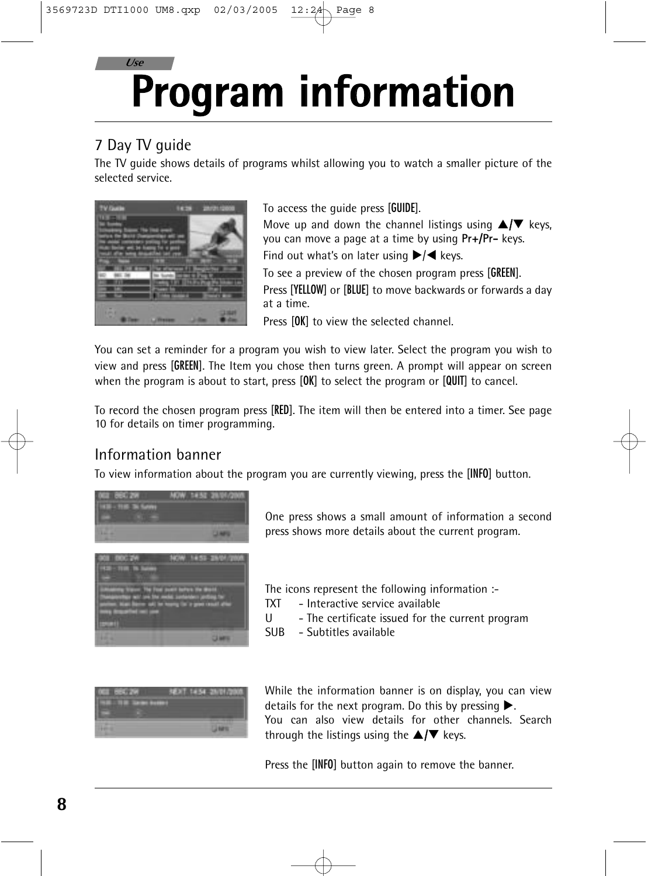### **Program information** *Use*

### 7 Day TV guide

The TV guide shows details of programs whilst allowing you to watch a smaller picture of the selected service.



To access the guide press [GUIDE]. Move up and down the channel listings using  $\triangle/\blacktriangledown$  keys, you can move a page at a time by using **Pr+/Pr-** keys. Find out what's on later using  $\blacktriangleright$  / keys. To see a preview of the chosen program press [GREEN]. Press [YELLOW] or [BLUE] to move backwards or forwards a day at a time.

Press [OK] to view the selected channel.

You can set a reminder for a program you wish to view later. Select the program you wish to view and press [GREEN]. The Item you chose then turns green. A prompt will appear on screen when the program is about to start, press [OK] to select the program or [QUIT] to cancel.

To record the chosen program press [RED]. The item will then be entered into a timer. See page 10 for details on timer programming.

### Information banner

To view information about the program you are currently viewing, press the [INFO] button.



One press shows a small amount of information a second press shows more details about the current program.

The icons represent the following information :-

- TXT Interactive service available
- U The certificate issued for the current program
- SUB Subtitles available



While the information banner is on display, you can view details for the next program. Do this by pressing  $\blacktriangleright$ . You can also view details for other channels. Search through the listings using the  $\triangle/\blacktriangledown$  keys.

Press the [INFO] button again to remove the banner.

**8**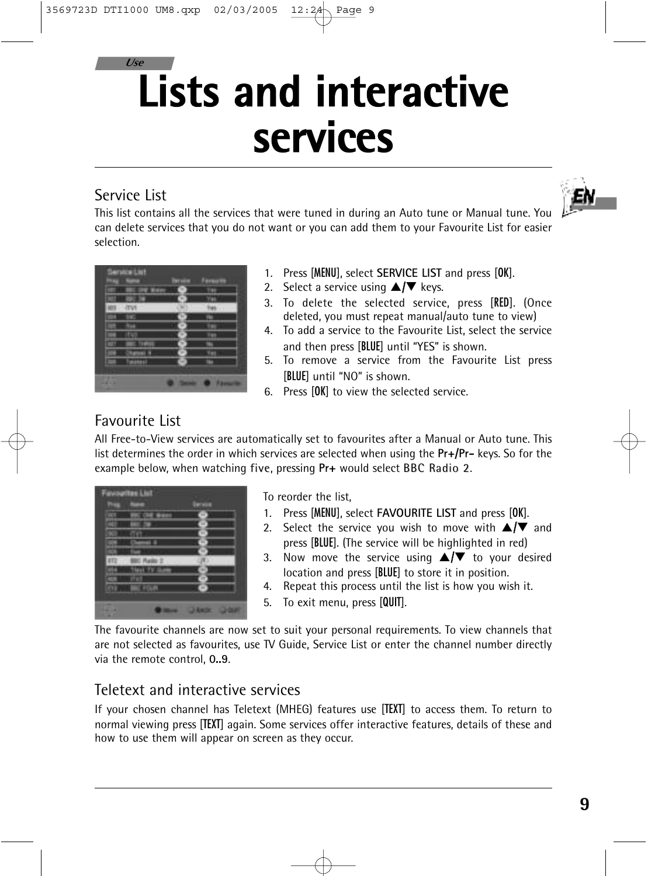## *Use* **Lists and interactive services**

### Service List

ΕN

This list contains all the services that were tuned in during an Auto tune or Manual tune. You can delete services that you do not want or you can add them to your Favourite List for easier selection.

|   |        | ٥<br>ı |
|---|--------|--------|
|   | ×      |        |
|   | ٠      |        |
|   |        |        |
| ú | w      |        |
|   | v      |        |
| ٠ | ×      |        |
|   | v<br>٠ |        |
|   |        |        |
| I | ж      |        |
|   |        |        |

- 1. Press [MENU], select **SERVICE LIST** and press [OK].
- 2. Select a service using  $\triangle/\blacktriangledown$  keys.
- 3. To delete the selected service, press [RED]. (Once deleted, you must repeat manual/auto tune to view)
- 4. To add a service to the Favourite List, select the service and then press [BLUE] until "YES" is shown.
- 5. To remove a service from the Favourite List press [BLUE] until "NO" is shown.
- 6. Press [OK] to view the selected service.

### Favourite List

All Free-to-View services are automatically set to favourites after a Manual or Auto tune. This list determines the order in which services are selected when using the **Pr+/Pr-** keys. So for the example below, when watching five, pressing Pr+ would select BBC Radio 2.



To reorder the list,

- 1. Press [MENU], select **FAVOURITE LIST** and press [OK].
- 2. Select the service you wish to move with  $\triangle/\blacktriangledown$  and press [BLUE]. (The service will be highlighted in red)
- 3. Now move the service using  $\blacktriangle/\blacktriangledown$  to your desired location and press [BLUE] to store it in position.
- 4. Repeat this process until the list is how you wish it.
- 5. To exit menu, press [QUIT].

The favourite channels are now set to suit your personal requirements. To view channels that are not selected as favourites, use TV Guide, Service List or enter the channel number directly via the remote control, **0..9**.

### Teletext and interactive services

If your chosen channel has Teletext (MHEG) features use [TEXT] to access them. To return to normal viewing press [TEXT] again. Some services offer interactive features, details of these and how to use them will appear on screen as they occur.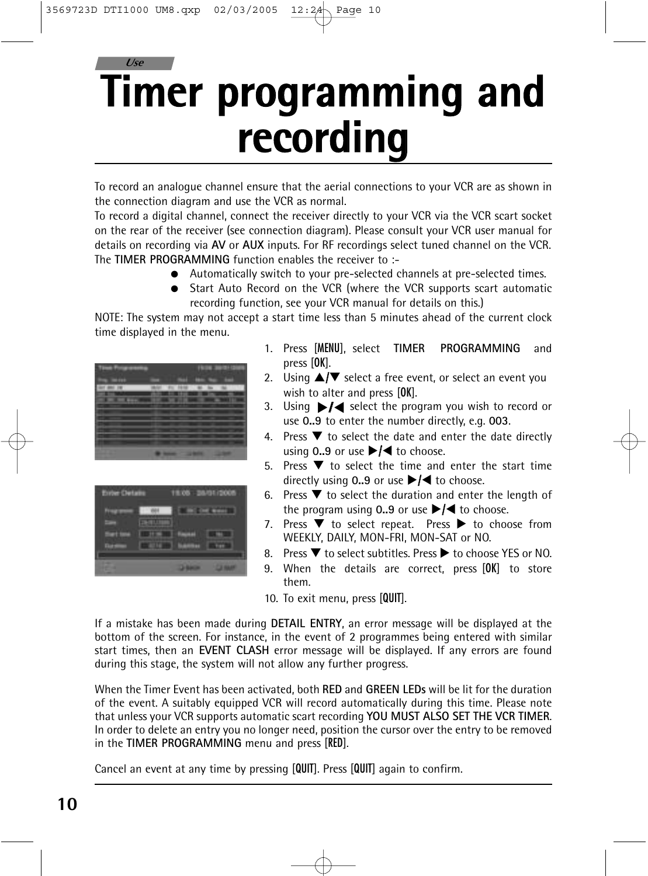## **Timer programming and recording** *Use*

To record an analogue channel ensure that the aerial connections to your VCR are as shown in the connection diagram and use the VCR as normal.

To record a digital channel, connect the receiver directly to your VCR via the VCR scart socket on the rear of the receiver (see connection diagram). Please consult your VCR user manual for details on recording via **AV** or **AUX** inputs. For RF recordings select tuned channel on the VCR. The **TIMER PROGRAMMING** function enables the receiver to :-

- Automatically switch to your pre-selected channels at pre-selected times.
- Start Auto Record on the VCR (where the VCR supports scart automatic recording function, see your VCR manual for details on this.)

NOTE: The system may not accept a start time less than 5 minutes ahead of the current clock time displayed in the menu.

|              |         | - |  |
|--------------|---------|---|--|
| $\mathbf{m}$ |         |   |  |
|              | <br>. . |   |  |
| __           |         |   |  |
|              |         |   |  |
|              |         |   |  |
| __           |         |   |  |
|              |         |   |  |
|              |         |   |  |
|              |         |   |  |
|              |         |   |  |
|              |         |   |  |

| <b>Stront Club</b> |   | U.<br>٠ | ъ<br>к |
|--------------------|---|---------|--------|
| ٠                  |   |         |        |
|                    | _ |         |        |
| . .                |   |         |        |

- 1. Press [MENU], select **TIMER PROGRAMMING** and press [OK].
- 2. Using  $\triangle / \triangledown$  select a free event, or select an event you wish to alter and press [OK].
- 3. Using ▶/◀ select the program you wish to record or use **0..9** to enter the number directly, e.g. **003**.
- 4. Press  $\blacktriangledown$  to select the date and enter the date directly using  $0.9$  or use  $\blacktriangleright$ / $\blacktriangleleft$  to choose.
- 5. Press  $\blacktriangledown$  to select the time and enter the start time directly using  $0.9$  or use  $\blacktriangleright$  **/** to choose.
- 6. Press  $\blacktriangledown$  to select the duration and enter the length of the program using  $0.9$  or use  $\blacktriangleright$ / $\blacktriangleleft$  to choose.
- 7. Press  $\blacktriangledown$  to select repeat. Press  $\blacktriangleright$  to choose from WEEKLY, DAILY, MON-FRI, MON-SAT or NO.
- 8. Press  $\blacktriangledown$  to select subtitles. Press  $\blacktriangleright$  to choose YES or NO.
- 9. When the details are correct, press [OK] to store them.
- 10. To exit menu, press [QUIT].

If a mistake has been made during **DETAIL ENTRY**, an error message will be displayed at the bottom of the screen. For instance, in the event of 2 programmes being entered with similar start times, then an **EVENT CLASH** error message will be displayed. If any errors are found during this stage, the system will not allow any further progress.

When the Timer Event has been activated, both **RED** and **GREEN LEDs** will be lit for the duration of the event. A suitably equipped VCR will record automatically during this time. Please note that unless your VCR supports automatic scart recording **YOU MUST ALSO SET THE VCR TIMER**. In order to delete an entry you no longer need, position the cursor over the entry to be removed in the **TIMER PROGRAMMING** menu and press [RED].

Cancel an event at any time by pressing [QUIT]. Press [QUIT] again to confirm.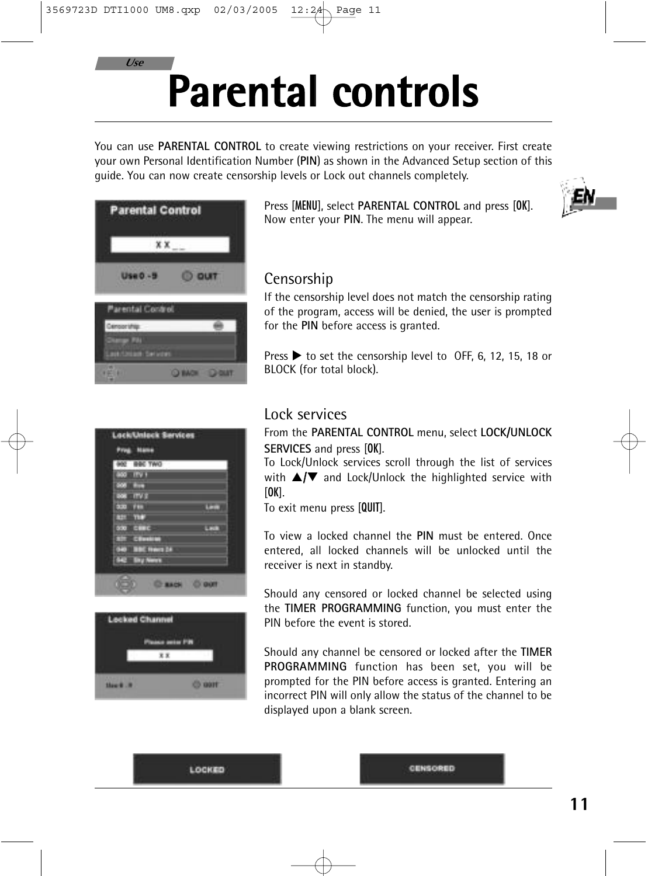### *Use*

# **Parental controls**

You can use **PARENTAL CONTROL** to create viewing restrictions on your receiver. First create your own Personal Identification Number (**PIN**) as shown in the Advanced Setup section of this guide. You can now create censorship levels or Lock out channels completely.

|                                  | <b>Parental Control</b> |  |
|----------------------------------|-------------------------|--|
|                                  | x x                     |  |
| <b>Use 0 -1</b>                  |                         |  |
| Parental Control                 |                         |  |
| <b><i><u>Demokratike</u></i></b> |                         |  |
|                                  |                         |  |

Press [MENU], select **PARENTAL CONTROL** and press [OK]. Now enter your **PIN**. The menu will appear.



### Censorship

If the censorship level does not match the censorship rating of the program, access will be denied, the user is prompted for the **PIN** before access is granted.

Press  $\triangleright$  to set the censorship level to OFF, 6, 12, 15, 18 or BLOCK (for total block).

|                | <b>BBC TWO</b> |  |
|----------------|----------------|--|
| ×              |                |  |
| m              |                |  |
| œ              |                |  |
| <b>P. M. K</b> | ٠              |  |
| н              |                |  |
| œ              |                |  |
|                | ٠              |  |
|                |                |  |
|                | n              |  |

| <b>Locked Channel</b> |           |  |
|-----------------------|-----------|--|
|                       | a seis FR |  |
|                       |           |  |
|                       |           |  |

### Lock services

From the **PARENTAL CONTROL** menu, select **LOCK/UNLOCK SERVICES** and press [OK].

To Lock/Unlock services scroll through the list of services with  $\triangle/\blacktriangledown$  and Lock/Unlock the highlighted service with  $[OK]$ .

To exit menu press [QUIT].

To view a locked channel the **PIN** must be entered. Once entered, all locked channels will be unlocked until the receiver is next in standby.

Should any censored or locked channel be selected using the **TIMER PROGRAMMING** function, you must enter the PIN before the event is stored.

Should any channel be censored or locked after the **TIMER PROGRAMMING** function has been set, you will be prompted for the PIN before access is granted. Entering an incorrect PIN will only allow the status of the channel to be displayed upon a blank screen.

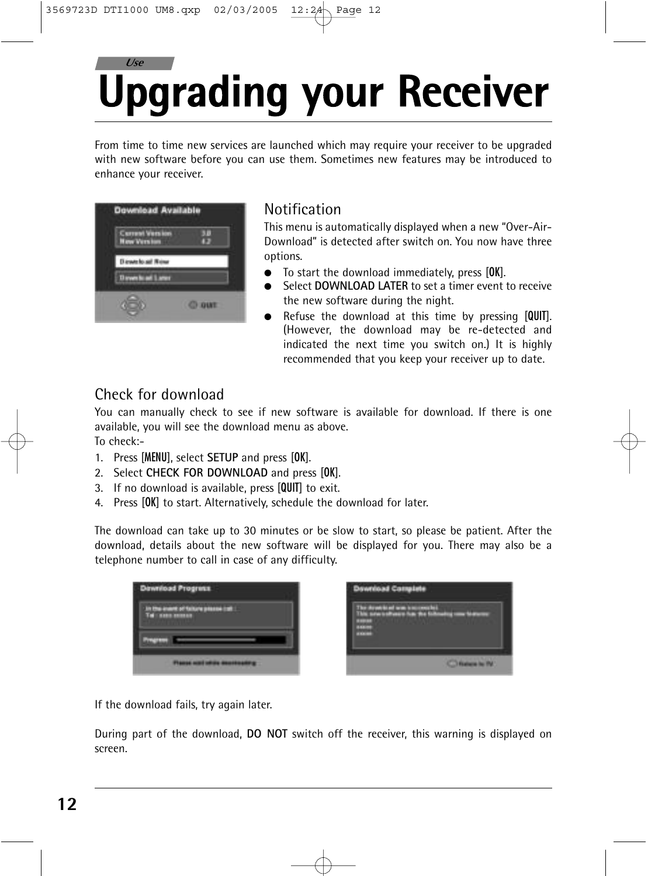## **Upgrading your Receiver** *Use*

From time to time new services are launched which may require your receiver to be upgraded with new software before you can use them. Sometimes new features may be introduced to enhance your receiver.



### Notification

This menu is automatically displayed when a new "Over-Air-Download" is detected after switch on. You now have three options.

- To start the download immediately, press [OK].
- Select DOWNLOAD LATER to set a timer event to receive the new software during the night.
- Refuse the download at this time by pressing [QUIT]. (However, the download may be re-detected and indicated the next time you switch on.) It is highly recommended that you keep your receiver up to date.

### Check for download

You can manually check to see if new software is available for download. If there is one available, you will see the download menu as above. To check:-

- 1. Press [MENU], select **SETUP** and press [OK].
- 2. Select **CHECK FOR DOWNLOAD** and press [OK].
- 3. If no download is available, press [QUIT] to exit.
- 4. Press [OK] to start. Alternatively, schedule the download for later.

The download can take up to 30 minutes or be slow to start, so please be patient. After the download, details about the new software will be displayed for you. There may also be a telephone number to call in case of any difficulty.

| <b>Download Program</b>                                    |  |
|------------------------------------------------------------|--|
| <b>1706-invention Talbure pressue</b><br><b>COMMENTANT</b> |  |
|                                                            |  |
|                                                            |  |



If the download fails, try again later.

During part of the download, **DO NOT** switch off the receiver, this warning is displayed on screen.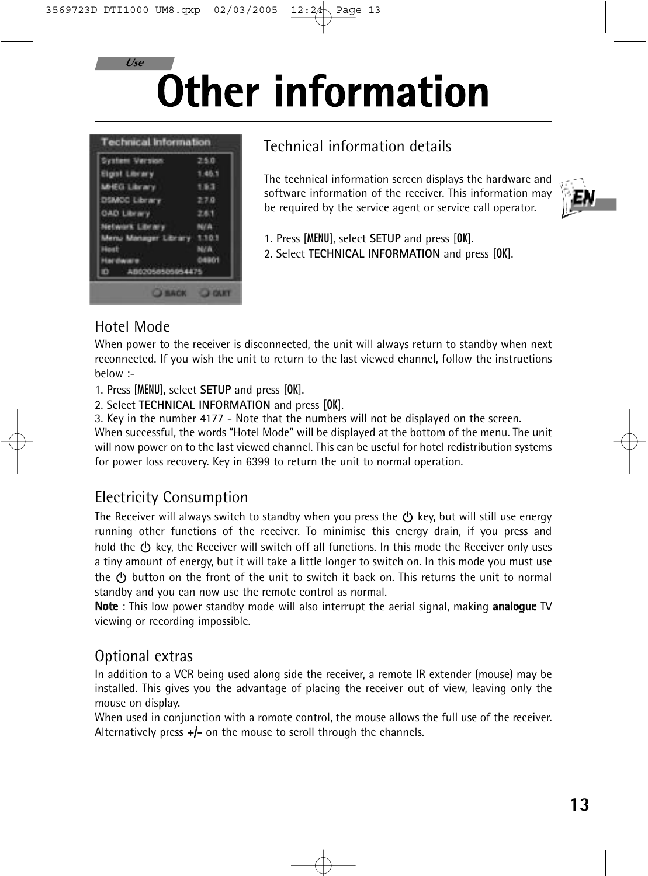**Other information**

| <b>System Version</b>       | 2.5.0  |
|-----------------------------|--------|
| <b>Elgist Library</b>       | 1.45.1 |
| MHEG Library                | 1.9.3  |
| DSMCC Library               | 27.0   |
| <b>OAD Library</b>          | 2.6.1  |
| Network Library             | NVA    |
| Menu Manager Library 1.10.1 |        |
| Host                        | NAW    |
| <b>Hardware</b>             | 04801  |
| AB02050505054475<br>ID.     |        |

### Technical information details

The technical information screen displays the hardware and software information of the receiver. This information may be required by the service agent or service call operator.



1. Press [MENU], select **SETUP** and press [OK].

2. Select **TECHNICAL INFORMATION** and press [OK].

### Hotel Mode

*Use*

When power to the receiver is disconnected, the unit will always return to standby when next reconnected. If you wish the unit to return to the last viewed channel, follow the instructions below :-

- 1. Press [MENU], select **SETUP** and press [OK].
- 2. Select **TECHNICAL INFORMATION** and press [OK].

3. Key in the number 4177 - Note that the numbers will not be displayed on the screen. When successful, the words "Hotel Mode" will be displayed at the bottom of the menu. The unit will now power on to the last viewed channel. This can be useful for hotel redistribution systems for power loss recovery. Key in 6399 to return the unit to normal operation.

### Electricity Consumption

The Receiver will always switch to standby when you press the  $\circled{b}$  key, but will still use energy running other functions of the receiver. To minimise this energy drain, if you press and hold the  $(1)$  key, the Receiver will switch off all functions. In this mode the Receiver only uses a tiny amount of energy, but it will take a little longer to switch on. In this mode you must use the  $\langle$ <sup>1</sup>) button on the front of the unit to switch it back on. This returns the unit to normal standby and you can now use the remote control as normal.

**Note** : This low power standby mode will also interrupt the aerial signal, making **analogue** TV viewing or recording impossible.

### Optional extras

In addition to a VCR being used along side the receiver, a remote IR extender (mouse) may be installed. This gives you the advantage of placing the receiver out of view, leaving only the mouse on display.

When used in conjunction with a romote control, the mouse allows the full use of the receiver. Alternatively press +/- on the mouse to scroll through the channels.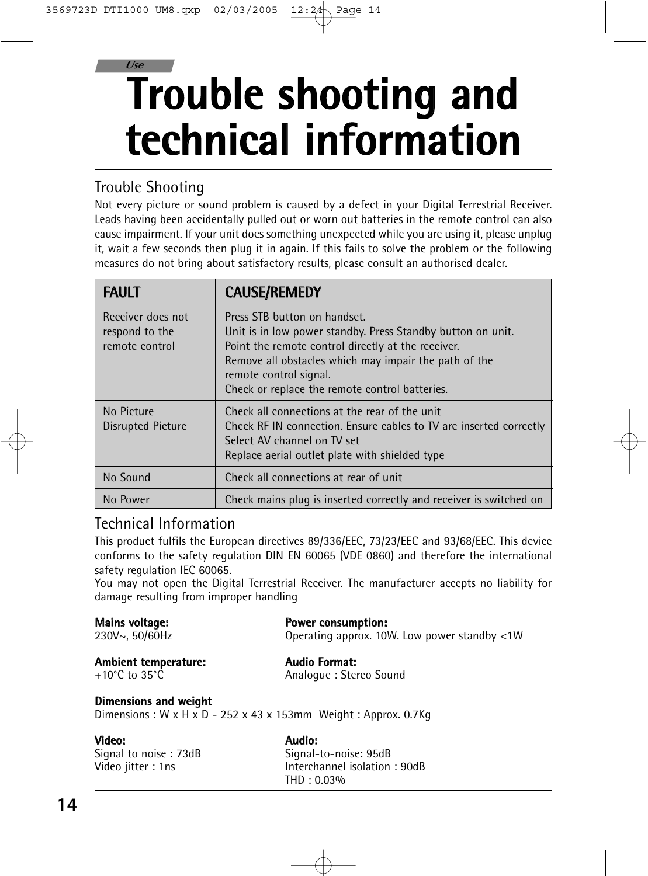## **Trouble shooting and technical information** *Use*

### Trouble Shooting

Not every picture or sound problem is caused by a defect in your Digital Terrestrial Receiver. Leads having been accidentally pulled out or worn out batteries in the remote control can also cause impairment. If your unit does something unexpected while you are using it, please unplug it, wait a few seconds then plug it in again. If this fails to solve the problem or the following measures do not bring about satisfactory results, please consult an authorised dealer.

| <b>FAULT</b>                                          | <b>CAUSE/REMEDY</b>                                                                                                                                                                                                                                                                    |
|-------------------------------------------------------|----------------------------------------------------------------------------------------------------------------------------------------------------------------------------------------------------------------------------------------------------------------------------------------|
| Receiver does not<br>respond to the<br>remote control | Press STB button on handset.<br>Unit is in low power standby. Press Standby button on unit.<br>Point the remote control directly at the receiver.<br>Remove all obstacles which may impair the path of the<br>remote control signal.<br>Check or replace the remote control batteries. |
| No Picture<br>Disrupted Picture                       | Check all connections at the rear of the unit<br>Check RF IN connection. Ensure cables to TV are inserted correctly<br>Select AV channel on TV set<br>Replace aerial outlet plate with shielded type                                                                                   |
| No Sound                                              | Check all connections at rear of unit                                                                                                                                                                                                                                                  |
| No Power                                              | Check mains plug is inserted correctly and receiver is switched on                                                                                                                                                                                                                     |

### Technical Information

This product fulfils the European directives 89/336/EEC, 73/23/EEC and 93/68/EEC. This device conforms to the safety regulation DIN EN 60065 (VDE 0860) and therefore the international safety regulation IEC 60065.

You may not open the Digital Terrestrial Receiver. The manufacturer accepts no liability for damage resulting from improper handling

| Mains voltage:<br>230V~, 50/60Hz                                   | <b>Power consumption:</b><br>Operating approx. 10W. Low power standby <1W             |
|--------------------------------------------------------------------|---------------------------------------------------------------------------------------|
| <b>Ambient temperature:</b><br>+10 $^{\circ}$ C to 35 $^{\circ}$ C | <b>Audio Format:</b><br>Analogue: Stereo Sound                                        |
| Dimensions and weight                                              | Dimensions: $W \times H \times D - 252 \times 43 \times 153$ mm Weight: Approx. 0.7Kg |
| Video:                                                             | Audio:                                                                                |
| Signal to noise: 73dB                                              | Signal-to-noise: 95dB                                                                 |
| Video jitter: 1ns                                                  | Interchannel isolation: 90dB                                                          |

THD : 0.03%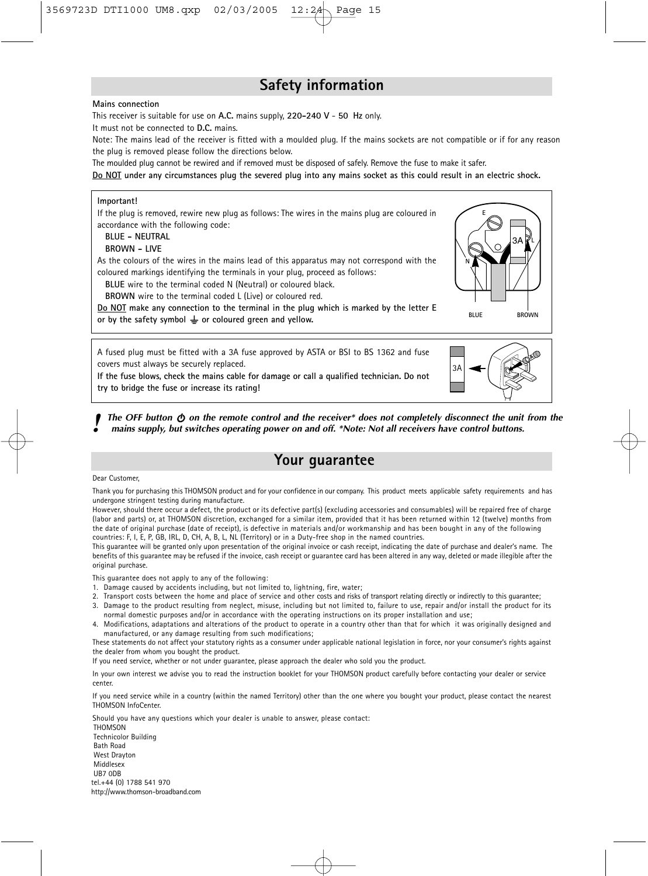### **Safety information**

#### **Mains connection**

*This receiver is suitable for use on* **A.C.** *mains supply,* **220-240 V** *-* **50 Hz** *only.* 

*It must not be connected to* **D.C.** *mains.*

*Note: The mains lead of the receiver is fitted with a moulded plug. If the mains sockets are not compatible or if for any reason the plug is removed please follow the directions below.*

*The moulded plug cannot be rewired and if removed must be disposed of safely. Remove the fuse to make it safer.*

**Do NOT under any circumstances plug the severed plug into any mains socket as this could result in an electric shock.**

#### **Important!**

*If the plug is removed, rewire new plug as follows: The wires in the mains plug are coloured in accordance with the following code:*

**BLUE - NEUTRAL**

#### **BROWN - LIVE**

*As the colours of the wires in the mains lead of this apparatus may not correspond with the coloured markings identifying the terminals in your plug, proceed as follows:*

**BLUE** *wire to the terminal coded N (Neutral) or coloured black.*

**BROWN** *wire to the terminal coded L (Live) or coloured red.*

**Do NOT make any connection to the terminal in the plug which is marked by the letter E** or by the safety symbol  $\perp$  or coloured green and yellow.

*A fused plug must be fitted with a 3A fuse approved by ASTA or BSI to BS 1362 and fuse covers must always be securely replaced.*

**If the fuse blows, check the mains cable for damage or call a qualified technician. Do not try to bridge the fuse or increase its rating!**



**BLUE** BROWN

**N**

**E**

3A

**L**

The OFF button  $\phi$  on the remote control and the receiver\* does not completely disconnect the unit from the mains supply, but switches operating power on and off. \*Note: Not all receivers have control buttons.

### **Your guarantee**

#### *Dear Customer,*

*Thank you for purchasing this THOMSON product and for your confidence in our company. This product meets applicable safety requirements and has undergone stringent testing during manufacture.*

*However, should there occur a defect, the product or its defective part(s) (excluding accessories and consumables) will be repaired free of charge (labor and parts) or, at THOMSON discretion, exchanged for a similar item, provided that it has been returned within 12 (twelve) months from the date of original purchase (date of receipt), is defective in materials and/or workmanship and has been bought in any of the following countries: F, I, E, P, GB, IRL, D, CH, A, B, L, NL (Territory) or in a Duty-free shop in the named countries.*

*This guarantee will be granted only upon presentation of the original invoice or cash receipt, indicating the date of purchase and dealer's name. The benefits of this guarantee may be refused if the invoice, cash receipt or guarantee card has been altered in any way, deleted or made illegible after the original purchase.*

*This guarantee does not apply to any of the following:*

- *1. Damage caused by accidents including, but not limited to, lightning, fire, water;*
- *2. Transport costs between the home and place of service and other costs and risks of transport relating directly or indirectly to this guarantee;*
- *3. Damage to the product resulting from neglect, misuse, including but not limited to, failure to use, repair and/or install the product for its normal domestic purposes and/or in accordance with the operating instructions on its proper installation and use;*
- *4. Modifications, adaptations and alterations of the product to operate in a country other than that for which it was originally designed and manufactured, or any damage resulting from such modifications;*

*These statements do not affect your statutory rights as a consumer under applicable national legislation in force, nor your consumer's rights against the dealer from whom you bought the product.* 

*If you need service, whether or not under guarantee, please approach the dealer who sold you the product.*

*In your own interest we advise you to read the instruction booklet for your THOMSON product carefully before contacting your dealer or service center.*

*If you need service while in a country (within the named Territory) other than the one where you bought your product, please contact the nearest THOMSON InfoCenter.* 

*Should you have any questions which your dealer is unable to answer, please contact: THOMSON Technicolor Building Bath Road West Drayton Middlesex UB7 0DB tel.+44 (0) 1788 541 970 http://www.thomson-broadband.com*